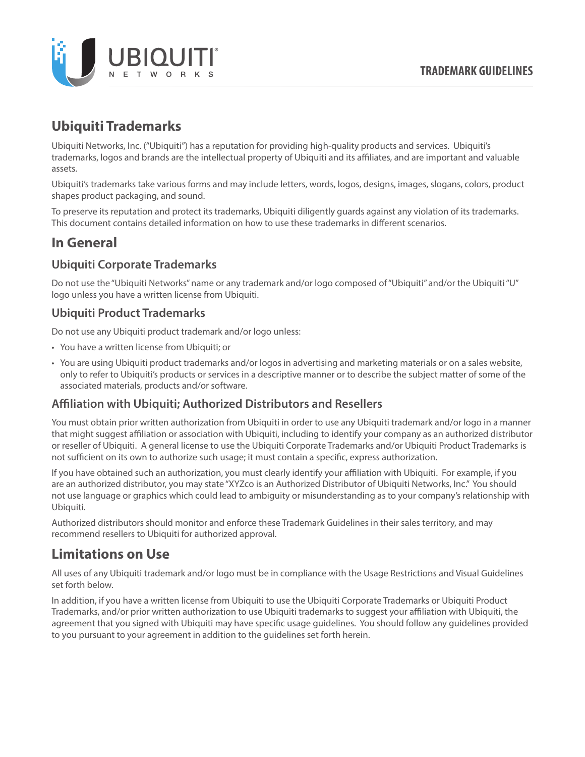

# **Ubiquiti Trademarks**

Ubiquiti Networks, Inc. ("Ubiquiti") has a reputation for providing high-quality products and services. Ubiquiti's trademarks, logos and brands are the intellectual property of Ubiquiti and its affiliates, and are important and valuable assets.

Ubiquiti's trademarks take various forms and may include letters, words, logos, designs, images, slogans, colors, product shapes product packaging, and sound.

To preserve its reputation and protect its trademarks, Ubiquiti diligently guards against any violation of its trademarks. This document contains detailed information on how to use these trademarks in different scenarios.

# **In General**

### **Ubiquiti Corporate Trademarks**

Do not use the "Ubiquiti Networks" name or any trademark and/or logo composed of "Ubiquiti" and/or the Ubiquiti "U" logo unless you have a written license from Ubiquiti.

#### **Ubiquiti Product Trademarks**

Do not use any Ubiquiti product trademark and/or logo unless:

- You have a written license from Ubiquiti; or
- You are using Ubiquiti product trademarks and/or logos in advertising and marketing materials or on a sales website, only to refer to Ubiquiti's products or services in a descriptive manner or to describe the subject matter of some of the associated materials, products and/or software.

### **Affiliation with Ubiquiti; Authorized Distributors and Resellers**

You must obtain prior written authorization from Ubiquiti in order to use any Ubiquiti trademark and/or logo in a manner that might suggest affiliation or association with Ubiquiti, including to identify your company as an authorized distributor or reseller of Ubiquiti. A general license to use the Ubiquiti Corporate Trademarks and/or Ubiquiti Product Trademarks is not sufficient on its own to authorize such usage; it must contain a specific, express authorization.

If you have obtained such an authorization, you must clearly identify your affiliation with Ubiquiti. For example, if you are an authorized distributor, you may state "XYZco is an Authorized Distributor of Ubiquiti Networks, Inc." You should not use language or graphics which could lead to ambiguity or misunderstanding as to your company's relationship with Ubiquiti.

Authorized distributors should monitor and enforce these Trademark Guidelines in their sales territory, and may recommend resellers to Ubiquiti for authorized approval.

## **Limitations on Use**

All uses of any Ubiquiti trademark and/or logo must be in compliance with the Usage Restrictions and Visual Guidelines set forth below.

In addition, if you have a written license from Ubiquiti to use the Ubiquiti Corporate Trademarks or Ubiquiti Product Trademarks, and/or prior written authorization to use Ubiquiti trademarks to suggest your affiliation with Ubiquiti, the agreement that you signed with Ubiquiti may have specific usage guidelines. You should follow any guidelines provided to you pursuant to your agreement in addition to the guidelines set forth herein.